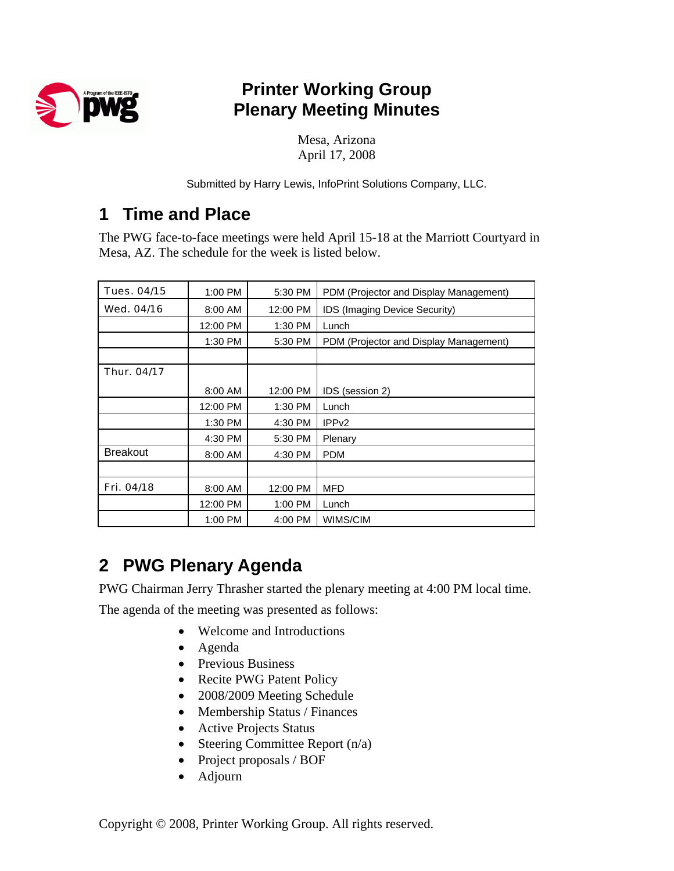

## **Printer Working Group Plenary Meeting Minutes**

Mesa, Arizona April 17, 2008

Submitted by Harry Lewis, InfoPrint Solutions Company, LLC.

## **1 Time and Place**

The PWG face-to-face meetings were held April 15-18 at the Marriott Courtyard in Mesa, AZ. The schedule for the week is listed below.

| Tues. 04/15     | 1:00 PM  | 5:30 PM  | PDM (Projector and Display Management) |
|-----------------|----------|----------|----------------------------------------|
| Wed. 04/16      | 8:00 AM  | 12:00 PM | <b>IDS (Imaging Device Security)</b>   |
|                 | 12:00 PM | 1:30 PM  | Lunch                                  |
|                 | 1:30 PM  | 5:30 PM  | PDM (Projector and Display Management) |
|                 |          |          |                                        |
| Thur. 04/17     |          |          |                                        |
|                 | 8:00 AM  | 12:00 PM | IDS (session 2)                        |
|                 | 12:00 PM | 1:30 PM  | Lunch                                  |
|                 | 1:30 PM  | 4:30 PM  | IPP <sub>v2</sub>                      |
|                 | 4:30 PM  | 5:30 PM  | Plenary                                |
| <b>Breakout</b> | 8:00 AM  | 4:30 PM  | <b>PDM</b>                             |
|                 |          |          |                                        |
| Fri. 04/18      | 8:00 AM  | 12:00 PM | <b>MFD</b>                             |
|                 | 12:00 PM | 1:00 PM  | Lunch                                  |
|                 | 1:00 PM  | 4:00 PM  | WIMS/CIM                               |

# **2 PWG Plenary Agenda**

PWG Chairman Jerry Thrasher started the plenary meeting at 4:00 PM local time.

The agenda of the meeting was presented as follows:

- Welcome and Introductions
- Agenda
- Previous Business
- Recite PWG Patent Policy
- 2008/2009 Meeting Schedule
- Membership Status / Finances
- Active Projects Status
- Steering Committee Report  $(n/a)$
- Project proposals / BOF
- Adjourn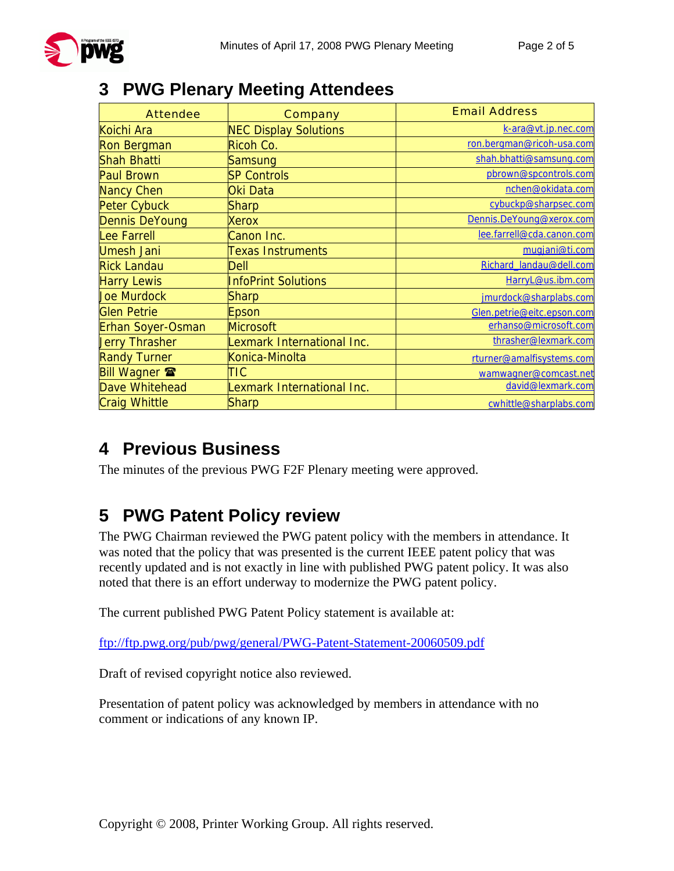

| <b>Attendee</b>          | <b>Company</b>               | <b>Email Address</b>       |
|--------------------------|------------------------------|----------------------------|
| Koichi Ara               | <b>NEC Display Solutions</b> | k-ara@vt.jp.nec.com        |
| <b>Ron Bergman</b>       | Ricoh Co.                    | ron.bergman@ricoh-usa.com  |
| Shah Bhatti              | Samsung                      | shah.bhatti@samsung.com    |
| <b>Paul Brown</b>        | <b>SP Controls</b>           | pbrown@spcontrols.com      |
| <b>Nancy Chen</b>        | Oki Data                     | nchen@okidata.com          |
| Peter Cybuck             | Sharp                        | cybuckp@sharpsec.com       |
| <b>Dennis DeYoung</b>    | <b>Xerox</b>                 | Dennis.DeYoung@xerox.com   |
| Lee Farrell              | Canon Inc.                   | lee.farrell@cda.canon.com  |
| <b>Umesh Jani</b>        | <b>Texas Instruments</b>     | mugjani@ti.com             |
| <b>Rick Landau</b>       | <b>Dell</b>                  | Richard landau@dell.com    |
| <b>Harry Lewis</b>       | <b>InfoPrint Solutions</b>   | HarryL@us.ibm.com          |
| <b>Joe Murdock</b>       | Sharp                        | jmurdock@sharplabs.com     |
| <b>Glen Petrie</b>       | Epson                        | Glen.petrie@eitc.epson.com |
| <b>Erhan Soyer-Osman</b> | <b>Microsoft</b>             | erhanso@microsoft.com      |
| <b>Jerry Thrasher</b>    | Lexmark International Inc.   | thrasher@lexmark.com       |
| <b>Randy Turner</b>      | Konica-Minolta               | rturner@amalfisystems.com  |
| <b>Bill Wagner 雷</b>     | TIC                          | wamwagner@comcast.net      |
| Dave Whitehead           | Lexmark International Inc.   | david@lexmark.com          |
| <b>Craig Whittle</b>     | Sharp                        | cwhittle@sharplabs.com     |

## **3 PWG Plenary Meeting Attendees**

## **4 Previous Business**

The minutes of the previous PWG F2F Plenary meeting were approved.

# **5 PWG Patent Policy review**

The PWG Chairman reviewed the PWG patent policy with the members in attendance. It was noted that the policy that was presented is the current IEEE patent policy that was recently updated and is not exactly in line with published PWG patent policy. It was also noted that there is an effort underway to modernize the PWG patent policy.

The current published PWG Patent Policy statement is available at:

<ftp://ftp.pwg.org/pub/pwg/general/PWG-Patent-Statement-20060509.pdf>

Draft of revised copyright notice also reviewed.

Presentation of patent policy was acknowledged by members in attendance with no comment or indications of any known IP.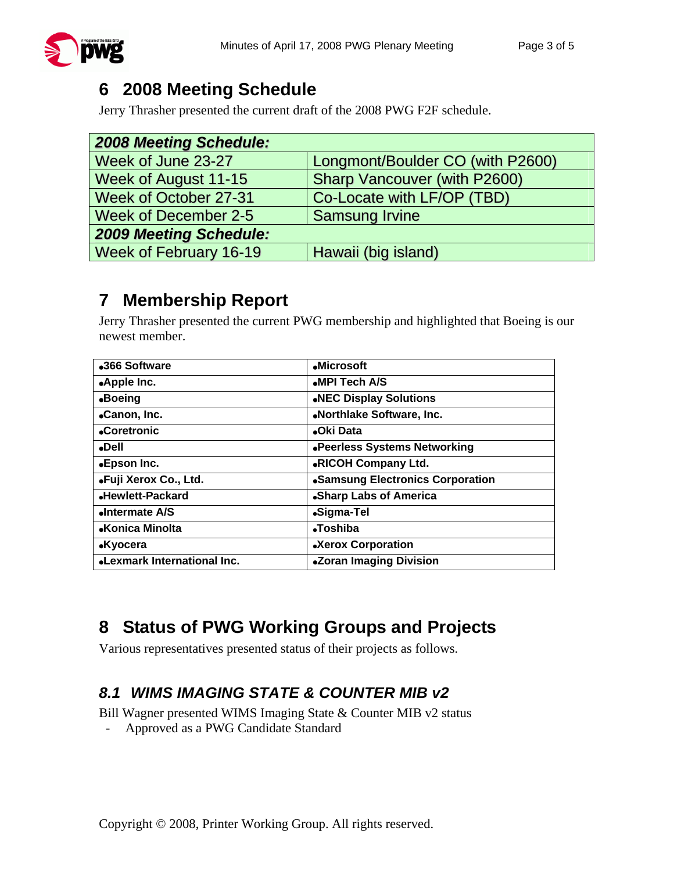

## **6 2008 Meeting Schedule**

Jerry Thrasher presented the current draft of the 2008 PWG F2F schedule.

| <b>2008 Meeting Schedule:</b> |                                     |  |  |
|-------------------------------|-------------------------------------|--|--|
| Week of June 23-27            | Longmont/Boulder CO (with P2600)    |  |  |
| Week of August 11-15          | <b>Sharp Vancouver (with P2600)</b> |  |  |
| Week of October 27-31         | Co-Locate with LF/OP (TBD)          |  |  |
| Week of December 2-5          | <b>Samsung Irvine</b>               |  |  |
| <b>2009 Meeting Schedule:</b> |                                     |  |  |
| Week of February 16-19        | Hawaii (big island)                 |  |  |

## **7 Membership Report**

Jerry Thrasher presented the current PWG membership and highlighted that Boeing is our newest member.

| •366 Software                      | <b>Microsoft</b>                 |
|------------------------------------|----------------------------------|
| •Apple Inc.                        | MPI Tech A/S                     |
| <b>Boeing</b>                      | .NEC Display Solutions           |
| •Canon, Inc.                       | «Northlake Software, Inc.        |
| •Coretronic                        | •Oki Data                        |
| $\n  DeII\n$                       | .Peerless Systems Networking     |
| •Epson Inc.                        | <b>.RICOH Company Ltd.</b>       |
| «Fuji Xerox Co., Ltd.              | •Samsung Electronics Corporation |
| Hewlett-Packard                    | •Sharp Labs of America           |
| Intermate A/S                      | •Sigma-Tel                       |
| •Konica Minolta                    | <b>•Toshiba</b>                  |
| <b>.Kyocera</b>                    | <b>.Xerox Corporation</b>        |
| <b>.Lexmark International Inc.</b> | •Zoran Imaging Division          |

# **8 Status of PWG Working Groups and Projects**

Various representatives presented status of their projects as follows.

## *8.1 WIMS IMAGING STATE & COUNTER MIB v2*

Bill Wagner presented WIMS Imaging State & Counter MIB v2 status

- Approved as a PWG Candidate Standard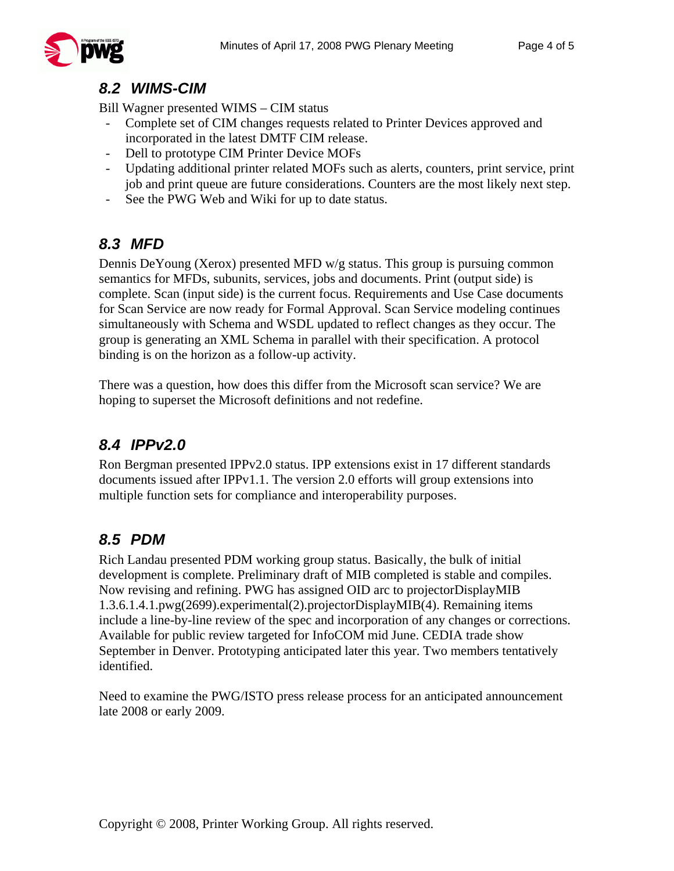### *8.2 WIMS-CIM*

Bill Wagner presented WIMS – CIM status

- Complete set of CIM changes requests related to Printer Devices approved and incorporated in the latest DMTF CIM release.
- Dell to prototype CIM Printer Device MOFs
- Updating additional printer related MOFs such as alerts, counters, print service, print job and print queue are future considerations. Counters are the most likely next step.
- See the PWG Web and Wiki for up to date status.

## *8.3 MFD*

Dennis DeYoung (Xerox) presented MFD w/g status. This group is pursuing common semantics for MFDs, subunits, services, jobs and documents. Print (output side) is complete. Scan (input side) is the current focus. Requirements and Use Case documents for Scan Service are now ready for Formal Approval. Scan Service modeling continues simultaneously with Schema and WSDL updated to reflect changes as they occur. The group is generating an XML Schema in parallel with their specification. A protocol binding is on the horizon as a follow-up activity.

There was a question, how does this differ from the Microsoft scan service? We are hoping to superset the Microsoft definitions and not redefine.

## *8.4 IPPv2.0*

Ron Bergman presented IPPv2.0 status. IPP extensions exist in 17 different standards documents issued after IPPv1.1. The version 2.0 efforts will group extensions into multiple function sets for compliance and interoperability purposes.

## *8.5 PDM*

Rich Landau presented PDM working group status. Basically, the bulk of initial development is complete. Preliminary draft of MIB completed is stable and compiles. Now revising and refining. PWG has assigned OID arc to projectorDisplayMIB 1.3.6.1.4.1.pwg(2699).experimental(2).projectorDisplayMIB(4). Remaining items include a line-by-line review of the spec and incorporation of any changes or corrections. Available for public review targeted for InfoCOM mid June. CEDIA trade show September in Denver. Prototyping anticipated later this year. Two members tentatively identified.

Need to examine the PWG/ISTO press release process for an anticipated announcement late 2008 or early 2009.